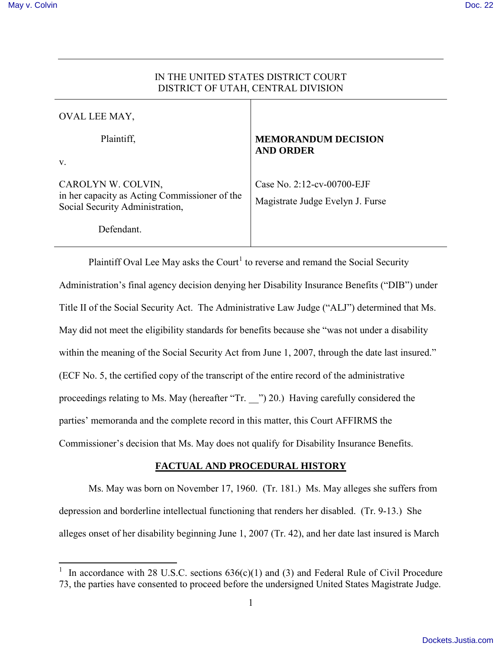$\overline{a}$ 

# IN THE UNITED STATES DISTRICT COURT DISTRICT OF UTAH, CENTRAL DIVISION

| OVAL LEE MAY,                                                                                          |                                                                |
|--------------------------------------------------------------------------------------------------------|----------------------------------------------------------------|
| Plaintiff,                                                                                             | <b>MEMORANDUM DECISION</b><br><b>AND ORDER</b>                 |
| $V_{\cdot}$                                                                                            |                                                                |
| CAROLYN W. COLVIN,<br>in her capacity as Acting Commissioner of the<br>Social Security Administration, | Case No. 2:12-cv-00700-EJF<br>Magistrate Judge Evelyn J. Furse |
| Defendant.                                                                                             |                                                                |

Plaintiff Oval Lee May asks the Court<sup>1</sup> to reverse and remand the Social Security Administration's final agency decision denying her Disability Insurance Benefits ("DIB") under Title II of the Social Security Act. The Administrative Law Judge ("ALJ") determined that Ms. May did not meet the eligibility standards for benefits because she "was not under a disability within the meaning of the Social Security Act from June 1, 2007, through the date last insured." (ECF No. 5, the certified copy of the transcript of the entire record of the administrative proceedings relating to Ms. May (hereafter "Tr. \_\_") 20.) Having carefully considered the parties' memoranda and the complete record in this matter, this Court AFFIRMS the Commissioner's decision that Ms. May does not qualify for Disability Insurance Benefits.

## **FACTUAL AND PROCEDURAL HISTORY**

 Ms. May was born on November 17, 1960. (Tr. 181.) Ms. May alleges she suffers from depression and borderline intellectual functioning that renders her disabled. (Tr. 9-13.) She alleges onset of her disability beginning June 1, 2007 (Tr. 42), and her date last insured is March

<sup>1</sup> In accordance with 28 U.S.C. sections 636(c)(1) and (3) and Federal Rule of Civil Procedure 73, the parties have consented to proceed before the undersigned United States Magistrate Judge.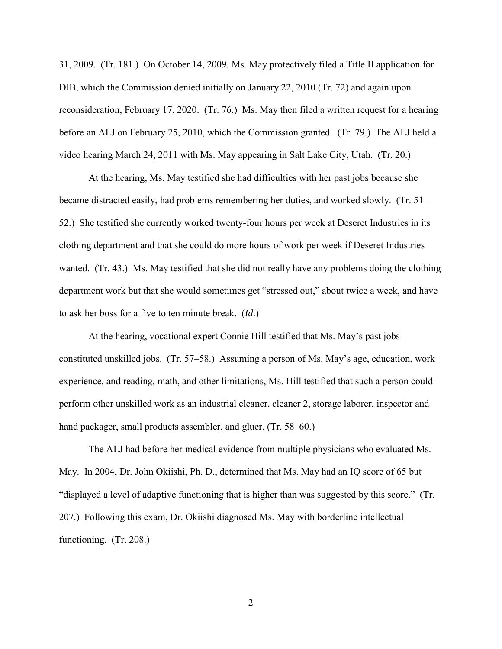31, 2009. (Tr. 181.) On October 14, 2009, Ms. May protectively filed a Title II application for DIB, which the Commission denied initially on January 22, 2010 (Tr. 72) and again upon reconsideration, February 17, 2020. (Tr. 76.) Ms. May then filed a written request for a hearing before an ALJ on February 25, 2010, which the Commission granted. (Tr. 79.) The ALJ held a video hearing March 24, 2011 with Ms. May appearing in Salt Lake City, Utah. (Tr. 20.)

At the hearing, Ms. May testified she had difficulties with her past jobs because she became distracted easily, had problems remembering her duties, and worked slowly. (Tr. 51– 52.) She testified she currently worked twenty-four hours per week at Deseret Industries in its clothing department and that she could do more hours of work per week if Deseret Industries wanted. (Tr. 43.) Ms. May testified that she did not really have any problems doing the clothing department work but that she would sometimes get "stressed out," about twice a week, and have to ask her boss for a five to ten minute break. (*Id*.)

At the hearing, vocational expert Connie Hill testified that Ms. May's past jobs constituted unskilled jobs. (Tr. 57–58.) Assuming a person of Ms. May's age, education, work experience, and reading, math, and other limitations, Ms. Hill testified that such a person could perform other unskilled work as an industrial cleaner, cleaner 2, storage laborer, inspector and hand packager, small products assembler, and gluer. (Tr. 58–60.)

 The ALJ had before her medical evidence from multiple physicians who evaluated Ms. May. In 2004, Dr. John Okiishi, Ph. D., determined that Ms. May had an IQ score of 65 but "displayed a level of adaptive functioning that is higher than was suggested by this score." (Tr. 207.) Following this exam, Dr. Okiishi diagnosed Ms. May with borderline intellectual functioning. (Tr. 208.)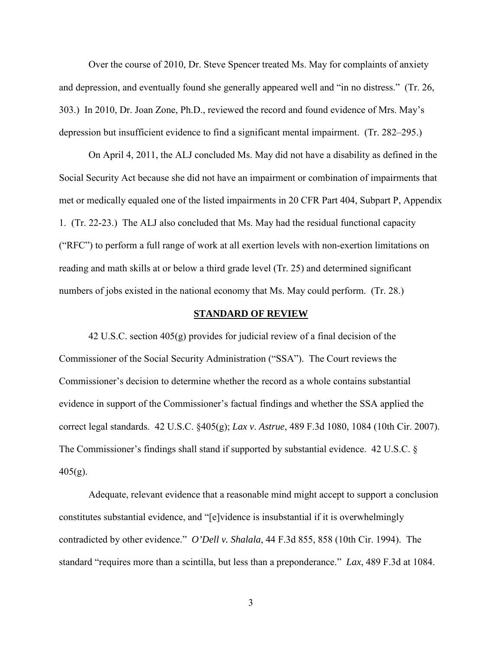Over the course of 2010, Dr. Steve Spencer treated Ms. May for complaints of anxiety and depression, and eventually found she generally appeared well and "in no distress." (Tr. 26, 303.) In 2010, Dr. Joan Zone, Ph.D., reviewed the record and found evidence of Mrs. May's depression but insufficient evidence to find a significant mental impairment. (Tr. 282–295.)

 On April 4, 2011, the ALJ concluded Ms. May did not have a disability as defined in the Social Security Act because she did not have an impairment or combination of impairments that met or medically equaled one of the listed impairments in 20 CFR Part 404, Subpart P, Appendix 1. (Tr. 22-23.) The ALJ also concluded that Ms. May had the residual functional capacity ("RFC") to perform a full range of work at all exertion levels with non-exertion limitations on reading and math skills at or below a third grade level (Tr. 25) and determined significant numbers of jobs existed in the national economy that Ms. May could perform. (Tr. 28.)

#### **STANDARD OF REVIEW**

42 U.S.C. section 405(g) provides for judicial review of a final decision of the Commissioner of the Social Security Administration ("SSA"). The Court reviews the Commissioner's decision to determine whether the record as a whole contains substantial evidence in support of the Commissioner's factual findings and whether the SSA applied the correct legal standards. 42 U.S.C. §405(g); *Lax v*. *Astrue*, 489 F.3d 1080, 1084 (10th Cir. 2007). The Commissioner's findings shall stand if supported by substantial evidence. 42 U.S.C. §  $405(g)$ .

Adequate, relevant evidence that a reasonable mind might accept to support a conclusion constitutes substantial evidence, and "[e]vidence is insubstantial if it is overwhelmingly contradicted by other evidence." *O'Dell v. Shalala*, 44 F.3d 855, 858 (10th Cir. 1994). The standard "requires more than a scintilla, but less than a preponderance." *Lax*, 489 F.3d at 1084.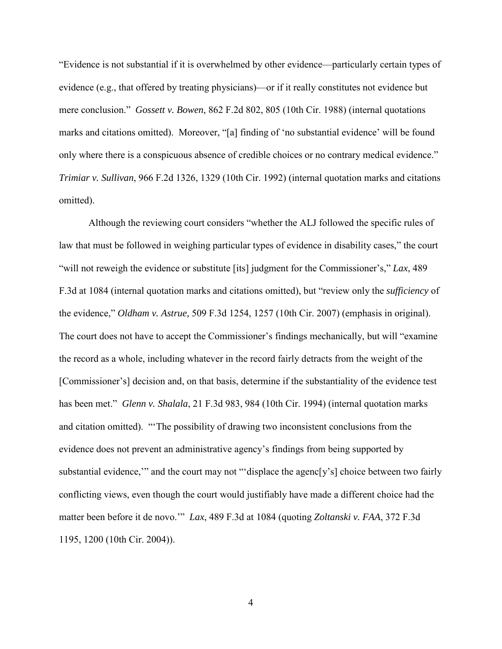"Evidence is not substantial if it is overwhelmed by other evidence—particularly certain types of evidence (e.g., that offered by treating physicians)—or if it really constitutes not evidence but mere conclusion." *Gossett v. Bowen*, 862 F.2d 802, 805 (10th Cir. 1988) (internal quotations marks and citations omitted). Moreover, "[a] finding of 'no substantial evidence' will be found only where there is a conspicuous absence of credible choices or no contrary medical evidence." *Trimiar v. Sullivan*, 966 F.2d 1326, 1329 (10th Cir. 1992) (internal quotation marks and citations omitted).

Although the reviewing court considers "whether the ALJ followed the specific rules of law that must be followed in weighing particular types of evidence in disability cases," the court "will not reweigh the evidence or substitute [its] judgment for the Commissioner's," *Lax*, 489 F.3d at 1084 (internal quotation marks and citations omitted), but "review only the *sufficiency* of the evidence," *Oldham v. Astrue,* 509 F.3d 1254, 1257 (10th Cir. 2007) (emphasis in original). The court does not have to accept the Commissioner's findings mechanically, but will "examine the record as a whole, including whatever in the record fairly detracts from the weight of the [Commissioner's] decision and, on that basis, determine if the substantiality of the evidence test has been met." *Glenn v. Shalala*, 21 F.3d 983, 984 (10th Cir. 1994) (internal quotation marks and citation omitted). "'The possibility of drawing two inconsistent conclusions from the evidence does not prevent an administrative agency's findings from being supported by substantial evidence," and the court may not ""displace the agenc[y's] choice between two fairly conflicting views, even though the court would justifiably have made a different choice had the matter been before it de novo.'" *Lax*, 489 F.3d at 1084 (quoting *Zoltanski v. FAA*, 372 F.3d 1195, 1200 (10th Cir. 2004)).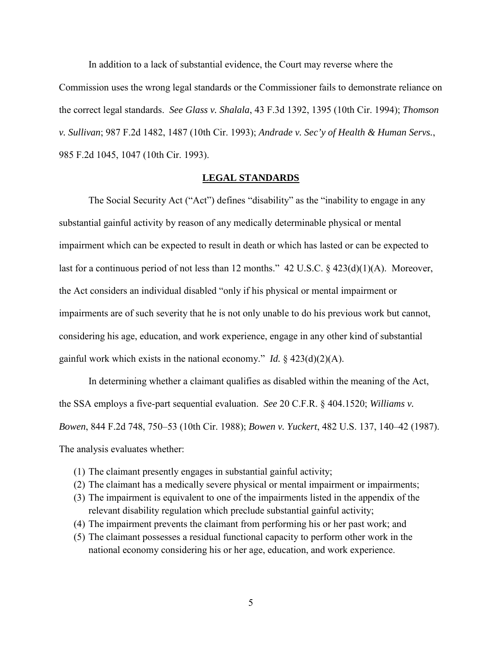In addition to a lack of substantial evidence, the Court may reverse where the Commission uses the wrong legal standards or the Commissioner fails to demonstrate reliance on the correct legal standards. *See Glass v. Shalala*, 43 F.3d 1392, 1395 (10th Cir. 1994); *Thomson v. Sullivan*; 987 F.2d 1482, 1487 (10th Cir. 1993); *Andrade v. Sec'y of Health & Human Servs.*, 985 F.2d 1045, 1047 (10th Cir. 1993).

### **LEGAL STANDARDS**

The Social Security Act ("Act") defines "disability" as the "inability to engage in any substantial gainful activity by reason of any medically determinable physical or mental impairment which can be expected to result in death or which has lasted or can be expected to last for a continuous period of not less than 12 months." 42 U.S.C. § 423(d)(1)(A). Moreover, the Act considers an individual disabled "only if his physical or mental impairment or impairments are of such severity that he is not only unable to do his previous work but cannot, considering his age, education, and work experience, engage in any other kind of substantial gainful work which exists in the national economy." *Id.*  $\S$  423(d)(2)(A).

In determining whether a claimant qualifies as disabled within the meaning of the Act, the SSA employs a five-part sequential evaluation. *See* 20 C.F.R. § 404.1520; *Williams v. Bowen*, 844 F.2d 748, 750–53 (10th Cir. 1988); *Bowen v. Yuckert*, 482 U.S. 137, 140–42 (1987). The analysis evaluates whether:

- (1) The claimant presently engages in substantial gainful activity;
- (2) The claimant has a medically severe physical or mental impairment or impairments;
- (3) The impairment is equivalent to one of the impairments listed in the appendix of the relevant disability regulation which preclude substantial gainful activity;
- (4) The impairment prevents the claimant from performing his or her past work; and
- (5) The claimant possesses a residual functional capacity to perform other work in the national economy considering his or her age, education, and work experience.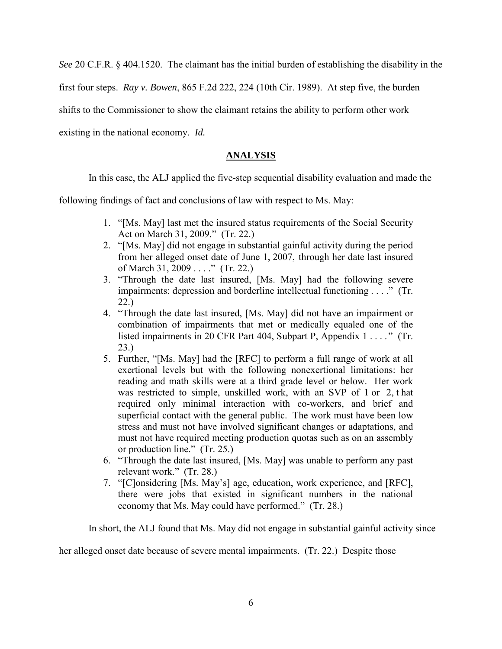*See* 20 C.F.R. § 404.1520. The claimant has the initial burden of establishing the disability in the

first four steps. *Ray v. Bowen*, 865 F.2d 222, 224 (10th Cir. 1989). At step five, the burden

shifts to the Commissioner to show the claimant retains the ability to perform other work

existing in the national economy. *Id.*

## **ANALYSIS**

In this case, the ALJ applied the five-step sequential disability evaluation and made the

following findings of fact and conclusions of law with respect to Ms. May:

- 1. "[Ms. May] last met the insured status requirements of the Social Security Act on March 31, 2009." (Tr. 22.)
- 2. "[Ms. May] did not engage in substantial gainful activity during the period from her alleged onset date of June 1, 2007, through her date last insured of March 31, 2009 . . . ." (Tr. 22.)
- 3. "Through the date last insured, [Ms. May] had the following severe impairments: depression and borderline intellectual functioning . . . ." (Tr. 22.)
- 4. "Through the date last insured, [Ms. May] did not have an impairment or combination of impairments that met or medically equaled one of the listed impairments in 20 CFR Part 404, Subpart P, Appendix 1 . . . . " (Tr. 23.)
- 5. Further, "[Ms. May] had the [RFC] to perform a full range of work at all exertional levels but with the following nonexertional limitations: her reading and math skills were at a third grade level or below. Her work was restricted to simple, unskilled work, with an SVP of 1 or 2, t hat required only minimal interaction with co-workers, and brief and superficial contact with the general public. The work must have been low stress and must not have involved significant changes or adaptations, and must not have required meeting production quotas such as on an assembly or production line." (Tr. 25.)
- 6. "Through the date last insured, [Ms. May] was unable to perform any past relevant work." (Tr. 28.)
- 7. "[C]onsidering [Ms. May's] age, education, work experience, and [RFC], there were jobs that existed in significant numbers in the national economy that Ms. May could have performed." (Tr. 28.)

In short, the ALJ found that Ms. May did not engage in substantial gainful activity since

her alleged onset date because of severe mental impairments. (Tr. 22.) Despite those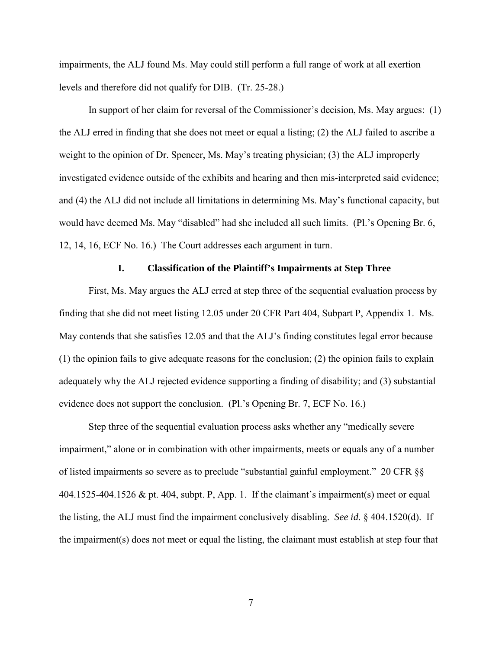impairments, the ALJ found Ms. May could still perform a full range of work at all exertion levels and therefore did not qualify for DIB. (Tr. 25-28.)

In support of her claim for reversal of the Commissioner's decision, Ms. May argues: (1) the ALJ erred in finding that she does not meet or equal a listing; (2) the ALJ failed to ascribe a weight to the opinion of Dr. Spencer, Ms. May's treating physician; (3) the ALJ improperly investigated evidence outside of the exhibits and hearing and then mis-interpreted said evidence; and (4) the ALJ did not include all limitations in determining Ms. May's functional capacity, but would have deemed Ms. May "disabled" had she included all such limits. (Pl.'s Opening Br. 6, 12, 14, 16, ECF No. 16.) The Court addresses each argument in turn.

### **I. Classification of the Plaintiff's Impairments at Step Three**

First, Ms. May argues the ALJ erred at step three of the sequential evaluation process by finding that she did not meet listing 12.05 under 20 CFR Part 404, Subpart P, Appendix 1. Ms. May contends that she satisfies 12.05 and that the ALJ's finding constitutes legal error because (1) the opinion fails to give adequate reasons for the conclusion; (2) the opinion fails to explain adequately why the ALJ rejected evidence supporting a finding of disability; and (3) substantial evidence does not support the conclusion. (Pl.'s Opening Br. 7, ECF No. 16.)

Step three of the sequential evaluation process asks whether any "medically severe impairment," alone or in combination with other impairments, meets or equals any of a number of listed impairments so severe as to preclude "substantial gainful employment." 20 CFR §§ 404.1525-404.1526 & pt. 404, subpt. P, App. 1. If the claimant's impairment(s) meet or equal the listing, the ALJ must find the impairment conclusively disabling. *See id.* § 404.1520(d). If the impairment(s) does not meet or equal the listing, the claimant must establish at step four that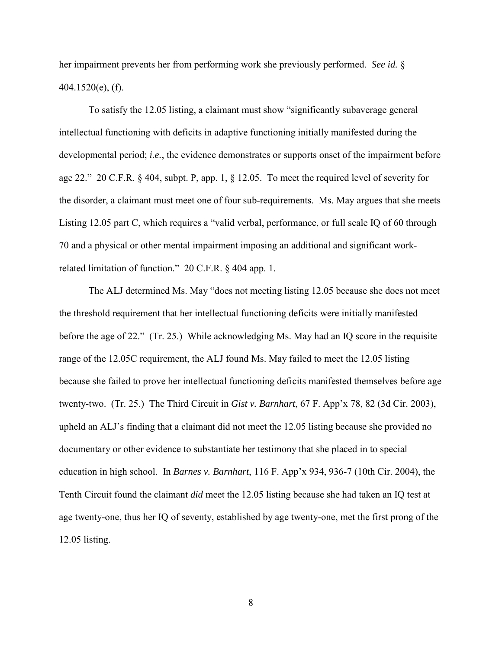her impairment prevents her from performing work she previously performed. *See id.* § 404.1520(e), (f).

To satisfy the 12.05 listing, a claimant must show "significantly subaverage general intellectual functioning with deficits in adaptive functioning initially manifested during the developmental period; *i.e.*, the evidence demonstrates or supports onset of the impairment before age 22." 20 C.F.R. § 404, subpt. P, app. 1, § 12.05. To meet the required level of severity for the disorder, a claimant must meet one of four sub-requirements. Ms. May argues that she meets Listing 12.05 part C, which requires a "valid verbal, performance, or full scale IQ of 60 through 70 and a physical or other mental impairment imposing an additional and significant workrelated limitation of function." 20 C.F.R. § 404 app. 1.

The ALJ determined Ms. May "does not meeting listing 12.05 because she does not meet the threshold requirement that her intellectual functioning deficits were initially manifested before the age of 22." (Tr. 25.) While acknowledging Ms. May had an IQ score in the requisite range of the 12.05C requirement, the ALJ found Ms. May failed to meet the 12.05 listing because she failed to prove her intellectual functioning deficits manifested themselves before age twenty-two. (Tr. 25.) The Third Circuit in *Gist v. Barnhart*, 67 F. App'x 78, 82 (3d Cir. 2003), upheld an ALJ's finding that a claimant did not meet the 12.05 listing because she provided no documentary or other evidence to substantiate her testimony that she placed in to special education in high school. In *Barnes v. Barnhart*, 116 F. App'x 934, 936-7 (10th Cir. 2004), the Tenth Circuit found the claimant *did* meet the 12.05 listing because she had taken an IQ test at age twenty-one, thus her IQ of seventy, established by age twenty-one, met the first prong of the 12.05 listing.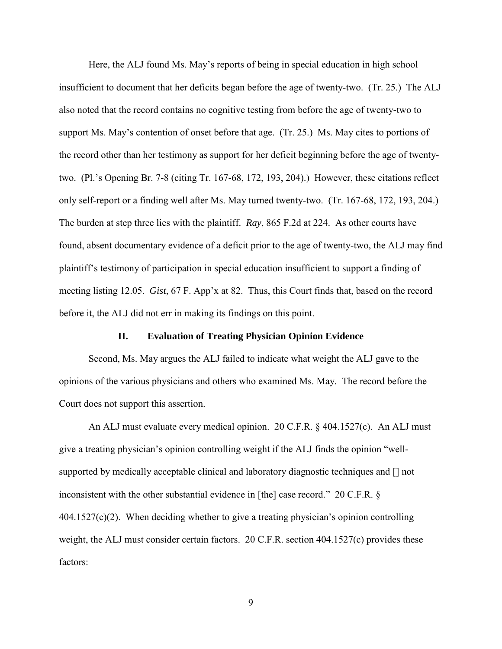Here, the ALJ found Ms. May's reports of being in special education in high school insufficient to document that her deficits began before the age of twenty-two. (Tr. 25.) The ALJ also noted that the record contains no cognitive testing from before the age of twenty-two to support Ms. May's contention of onset before that age. (Tr. 25.) Ms. May cites to portions of the record other than her testimony as support for her deficit beginning before the age of twentytwo. (Pl.'s Opening Br. 7-8 (citing Tr. 167-68, 172, 193, 204).) However, these citations reflect only self-report or a finding well after Ms. May turned twenty-two. (Tr. 167-68, 172, 193, 204.) The burden at step three lies with the plaintiff. *Ray*, 865 F.2d at 224. As other courts have found, absent documentary evidence of a deficit prior to the age of twenty-two, the ALJ may find plaintiff's testimony of participation in special education insufficient to support a finding of meeting listing 12.05. *Gist*, 67 F. App'x at 82. Thus, this Court finds that, based on the record before it, the ALJ did not err in making its findings on this point.

#### **II. Evaluation of Treating Physician Opinion Evidence**

Second, Ms. May argues the ALJ failed to indicate what weight the ALJ gave to the opinions of the various physicians and others who examined Ms. May. The record before the Court does not support this assertion.

An ALJ must evaluate every medical opinion. 20 C.F.R. § 404.1527(c). An ALJ must give a treating physician's opinion controlling weight if the ALJ finds the opinion "wellsupported by medically acceptable clinical and laboratory diagnostic techniques and [] not inconsistent with the other substantial evidence in [the] case record." 20 C.F.R. §  $404.1527(c)(2)$ . When deciding whether to give a treating physician's opinion controlling weight, the ALJ must consider certain factors. 20 C.F.R. section 404.1527(c) provides these factors: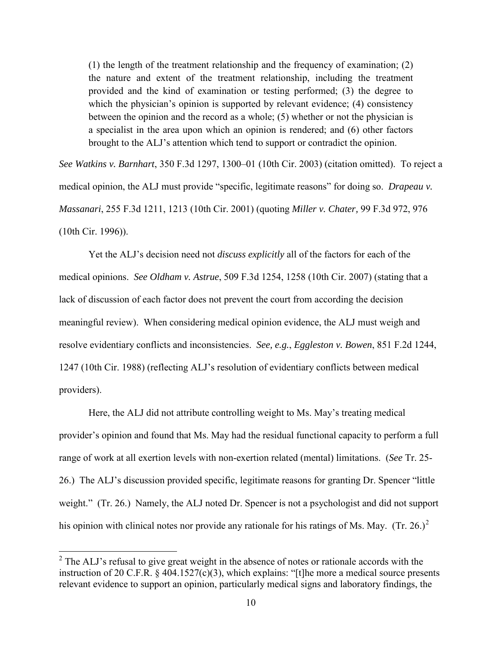(1) the length of the treatment relationship and the frequency of examination; (2) the nature and extent of the treatment relationship, including the treatment provided and the kind of examination or testing performed; (3) the degree to which the physician's opinion is supported by relevant evidence; (4) consistency between the opinion and the record as a whole; (5) whether or not the physician is a specialist in the area upon which an opinion is rendered; and (6) other factors brought to the ALJ's attention which tend to support or contradict the opinion.

*See Watkins v. Barnhart*, 350 F.3d 1297, 1300–01 (10th Cir. 2003) (citation omitted). To reject a medical opinion, the ALJ must provide "specific, legitimate reasons" for doing so. *Drapeau v. Massanari*, 255 F.3d 1211, 1213 (10th Cir. 2001) (quoting *Miller v. Chater,* 99 F.3d 972, 976 (10th Cir. 1996)).

Yet the ALJ's decision need not *discuss explicitly* all of the factors for each of the medical opinions. *See Oldham v. Astrue*, 509 F.3d 1254, 1258 (10th Cir. 2007) (stating that a lack of discussion of each factor does not prevent the court from according the decision meaningful review). When considering medical opinion evidence, the ALJ must weigh and resolve evidentiary conflicts and inconsistencies. *See, e.g.*, *Eggleston v. Bowen*, 851 F.2d 1244, 1247 (10th Cir. 1988) (reflecting ALJ's resolution of evidentiary conflicts between medical providers).

Here, the ALJ did not attribute controlling weight to Ms. May's treating medical provider's opinion and found that Ms. May had the residual functional capacity to perform a full range of work at all exertion levels with non-exertion related (mental) limitations. (*See* Tr. 25- 26.) The ALJ's discussion provided specific, legitimate reasons for granting Dr. Spencer "little weight." (Tr. 26.) Namely, the ALJ noted Dr. Spencer is not a psychologist and did not support his opinion with clinical notes nor provide any rationale for his ratings of Ms. May. (Tr. 26.)<sup>2</sup>

 $\overline{a}$ 

 $2^2$  The ALJ's refusal to give great weight in the absence of notes or rationale accords with the instruction of 20 C.F.R. § 404.1527(c)(3), which explains: "[t]he more a medical source presents relevant evidence to support an opinion, particularly medical signs and laboratory findings, the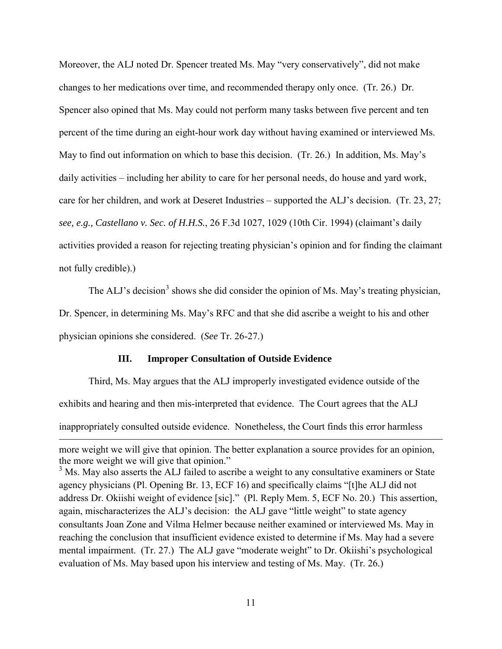Moreover, the ALJ noted Dr. Spencer treated Ms. May "very conservatively", did not make changes to her medications over time, and recommended therapy only once. (Tr. 26.) Dr. Spencer also opined that Ms. May could not perform many tasks between five percent and ten percent of the time during an eight-hour work day without having examined or interviewed Ms. May to find out information on which to base this decision. (Tr. 26.) In addition, Ms. May's daily activities – including her ability to care for her personal needs, do house and yard work, care for her children, and work at Deseret Industries – supported the ALJ's decision. (Tr. 23, 27; *see, e.g., Castellano v. Sec. of H.H.S.*, 26 F.3d 1027, 1029 (10th Cir. 1994) (claimant's daily activities provided a reason for rejecting treating physician's opinion and for finding the claimant not fully credible).)

The ALJ's decision<sup>3</sup> shows she did consider the opinion of Ms. May's treating physician, Dr. Spencer, in determining Ms. May's RFC and that she did ascribe a weight to his and other physician opinions she considered. (*See* Tr. 26-27.)

#### **III. Improper Consultation of Outside Evidence**

 $\overline{a}$ 

Third, Ms. May argues that the ALJ improperly investigated evidence outside of the exhibits and hearing and then mis-interpreted that evidence. The Court agrees that the ALJ inappropriately consulted outside evidence. Nonetheless, the Court finds this error harmless

more weight we will give that opinion. The better explanation a source provides for an opinion, the more weight we will give that opinion."

<sup>&</sup>lt;sup>3</sup> Ms. May also asserts the ALJ failed to ascribe a weight to any consultative examiners or State agency physicians (Pl. Opening Br. 13, ECF 16) and specifically claims "[t]he ALJ did not address Dr. Okiishi weight of evidence [sic]." (Pl. Reply Mem. 5, ECF No. 20.) This assertion, again, mischaracterizes the ALJ's decision: the ALJ gave "little weight" to state agency consultants Joan Zone and Vilma Helmer because neither examined or interviewed Ms. May in reaching the conclusion that insufficient evidence existed to determine if Ms. May had a severe mental impairment. (Tr. 27.) The ALJ gave "moderate weight" to Dr. Okiishi's psychological evaluation of Ms. May based upon his interview and testing of Ms. May. (Tr. 26.)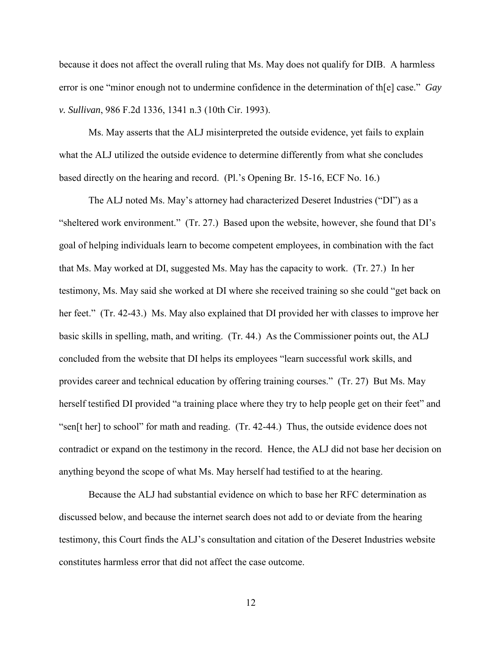because it does not affect the overall ruling that Ms. May does not qualify for DIB. A harmless error is one "minor enough not to undermine confidence in the determination of th[e] case." *Gay v. Sullivan*, 986 F.2d 1336, 1341 n.3 (10th Cir. 1993).

Ms. May asserts that the ALJ misinterpreted the outside evidence, yet fails to explain what the ALJ utilized the outside evidence to determine differently from what she concludes based directly on the hearing and record. (Pl.'s Opening Br. 15-16, ECF No. 16.)

The ALJ noted Ms. May's attorney had characterized Deseret Industries ("DI") as a "sheltered work environment." (Tr. 27.) Based upon the website, however, she found that DI's goal of helping individuals learn to become competent employees, in combination with the fact that Ms. May worked at DI, suggested Ms. May has the capacity to work. (Tr. 27.) In her testimony, Ms. May said she worked at DI where she received training so she could "get back on her feet." (Tr. 42-43.) Ms. May also explained that DI provided her with classes to improve her basic skills in spelling, math, and writing. (Tr. 44.) As the Commissioner points out, the ALJ concluded from the website that DI helps its employees "learn successful work skills, and provides career and technical education by offering training courses." (Tr. 27) But Ms. May herself testified DI provided "a training place where they try to help people get on their feet" and "sen[t her] to school" for math and reading. (Tr. 42-44.) Thus, the outside evidence does not contradict or expand on the testimony in the record. Hence, the ALJ did not base her decision on anything beyond the scope of what Ms. May herself had testified to at the hearing.

Because the ALJ had substantial evidence on which to base her RFC determination as discussed below, and because the internet search does not add to or deviate from the hearing testimony, this Court finds the ALJ's consultation and citation of the Deseret Industries website constitutes harmless error that did not affect the case outcome.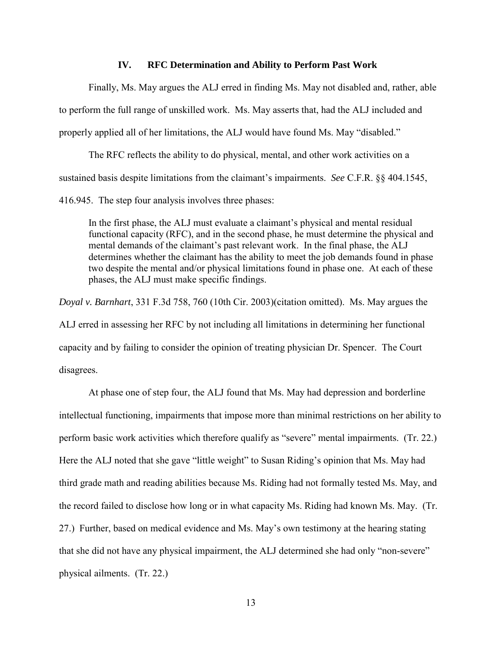### **IV. RFC Determination and Ability to Perform Past Work**

Finally, Ms. May argues the ALJ erred in finding Ms. May not disabled and, rather, able to perform the full range of unskilled work. Ms. May asserts that, had the ALJ included and properly applied all of her limitations, the ALJ would have found Ms. May "disabled."

The RFC reflects the ability to do physical, mental, and other work activities on a sustained basis despite limitations from the claimant's impairments. *See* C.F.R. §§ 404.1545,

416.945. The step four analysis involves three phases:

In the first phase, the ALJ must evaluate a claimant's physical and mental residual functional capacity (RFC), and in the second phase, he must determine the physical and mental demands of the claimant's past relevant work. In the final phase, the ALJ determines whether the claimant has the ability to meet the job demands found in phase two despite the mental and/or physical limitations found in phase one. At each of these phases, the ALJ must make specific findings.

*Doyal v. Barnhart*, 331 F.3d 758, 760 (10th Cir. 2003)(citation omitted). Ms. May argues the ALJ erred in assessing her RFC by not including all limitations in determining her functional capacity and by failing to consider the opinion of treating physician Dr. Spencer. The Court disagrees.

 At phase one of step four, the ALJ found that Ms. May had depression and borderline intellectual functioning, impairments that impose more than minimal restrictions on her ability to perform basic work activities which therefore qualify as "severe" mental impairments. (Tr. 22.) Here the ALJ noted that she gave "little weight" to Susan Riding's opinion that Ms. May had third grade math and reading abilities because Ms. Riding had not formally tested Ms. May, and the record failed to disclose how long or in what capacity Ms. Riding had known Ms. May. (Tr. 27.) Further, based on medical evidence and Ms. May's own testimony at the hearing stating that she did not have any physical impairment, the ALJ determined she had only "non-severe" physical ailments. (Tr. 22.)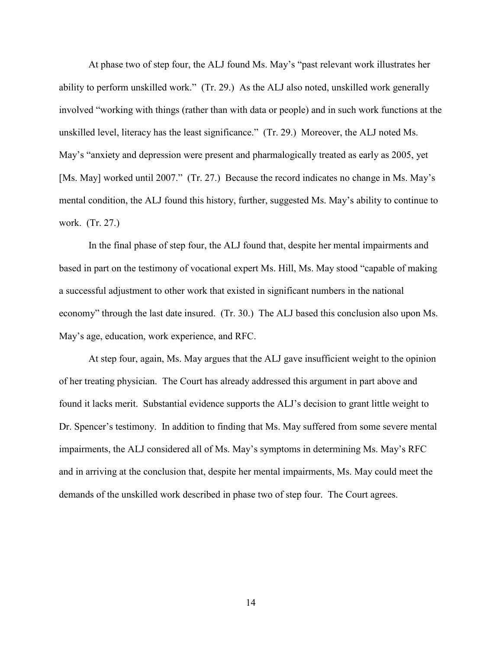At phase two of step four, the ALJ found Ms. May's "past relevant work illustrates her ability to perform unskilled work." (Tr. 29.) As the ALJ also noted, unskilled work generally involved "working with things (rather than with data or people) and in such work functions at the unskilled level, literacy has the least significance." (Tr. 29.) Moreover, the ALJ noted Ms. May's "anxiety and depression were present and pharmalogically treated as early as 2005, yet [Ms. May] worked until 2007." (Tr. 27.) Because the record indicates no change in Ms. May's mental condition, the ALJ found this history, further, suggested Ms. May's ability to continue to work. (Tr. 27.)

 In the final phase of step four, the ALJ found that, despite her mental impairments and based in part on the testimony of vocational expert Ms. Hill, Ms. May stood "capable of making a successful adjustment to other work that existed in significant numbers in the national economy" through the last date insured. (Tr. 30.) The ALJ based this conclusion also upon Ms. May's age, education, work experience, and RFC.

At step four, again, Ms. May argues that the ALJ gave insufficient weight to the opinion of her treating physician. The Court has already addressed this argument in part above and found it lacks merit. Substantial evidence supports the ALJ's decision to grant little weight to Dr. Spencer's testimony. In addition to finding that Ms. May suffered from some severe mental impairments, the ALJ considered all of Ms. May's symptoms in determining Ms. May's RFC and in arriving at the conclusion that, despite her mental impairments, Ms. May could meet the demands of the unskilled work described in phase two of step four. The Court agrees.